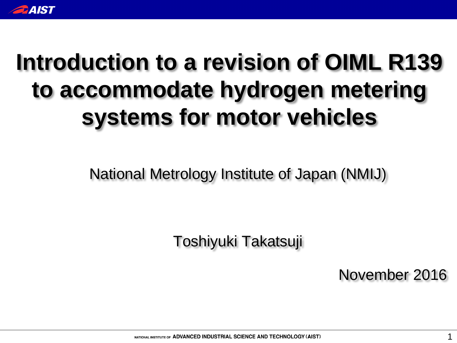

## **Introduction to a revision of OIML R139 to accommodate hydrogen metering systems for motor vehicles**

National Metrology Institute of Japan (NMIJ)

Toshiyuki Takatsuji

November 2016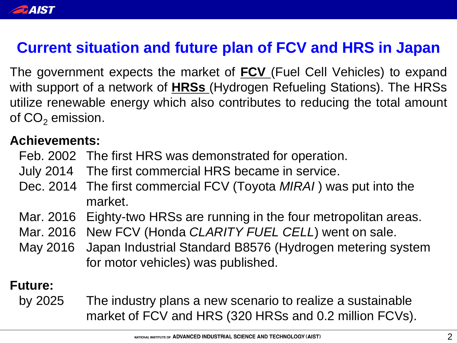

### **Current situation and future plan of FCV and HRS in Japan**

The government expects the market of **FCV** (Fuel Cell Vehicles) to expand with support of a network of **HRSs** (Hydrogen Refueling Stations). The HRSs utilize renewable energy which also contributes to reducing the total amount of  $CO<sub>2</sub>$  emission.

#### **Achievements:**

- Feb. 2002 The first HRS was demonstrated for operation.
- July 2014 The first commercial HRS became in service.
- Dec. 2014 The first commercial FCV (Toyota *MIRAI* ) was put into the market.
- Mar. 2016 Eighty-two HRSs are running in the four metropolitan areas.
- Mar. 2016 New FCV (Honda *CLARITY FUEL CELL*) went on sale.
- May 2016 Japan Industrial Standard B8576 (Hydrogen metering system for motor vehicles) was published.

### **Future:**

by 2025 The industry plans a new scenario to realize a sustainable market of FCV and HRS (320 HRSs and 0.2 million FCVs).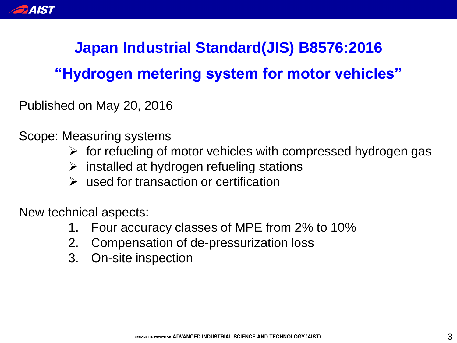

### **Japan Industrial Standard(JIS) B8576:2016**

### **"Hydrogen metering system for motor vehicles"**

Published on May 20, 2016

Scope: Measuring systems

- $\triangleright$  for refueling of motor vehicles with compressed hydrogen gas
- $\triangleright$  installed at hydrogen refueling stations
- $\triangleright$  used for transaction or certification

New technical aspects:

- 1. Four accuracy classes of MPE from 2% to 10%
- 2. Compensation of de-pressurization loss
- 3. On-site inspection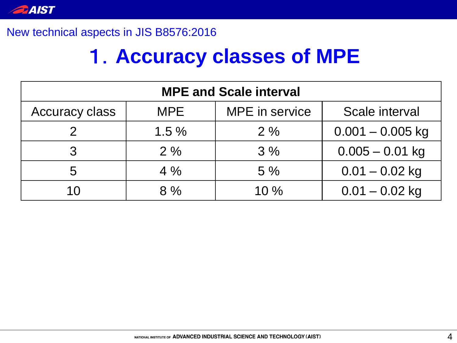

#### New technical aspects in JIS B8576:2016

### 1.**Accuracy classes of MPE**

| <b>MPE and Scale interval</b> |            |                |                    |  |  |  |  |
|-------------------------------|------------|----------------|--------------------|--|--|--|--|
| <b>Accuracy class</b>         | <b>MPE</b> | MPE in service | Scale interval     |  |  |  |  |
|                               | $1.5\%$    | 2%             | $0.001 - 0.005$ kg |  |  |  |  |
|                               | 2%         | 3%             | $0.005 - 0.01$ kg  |  |  |  |  |
| 5                             | $4\%$      | $5\%$          | $0.01 - 0.02$ kg   |  |  |  |  |
|                               | 8%         | $10\%$         | $0.01 - 0.02$ kg   |  |  |  |  |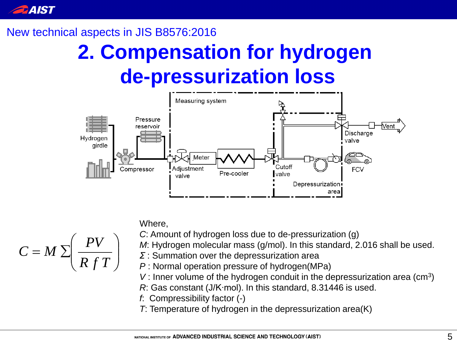

#### New technical aspects in JIS B8576:2016

## **2. Compensation for hydrogen de-pressurization loss**



Where,



*M*: Hydrogen molecular mass (g/mol). In this standard, 2.016 shall be used.

- *Σ* : Summation over the depressurization area
- *P* : Normal operation pressure of hydrogen(MPa)
- V: Inner volume of the hydrogen conduit in the depressurization area (cm<sup>3</sup>)
- *R*: Gas constant (J/K∙mol). In this standard, 8.31446 is used.

*f*: Compressibility factor (-)

*T*: Temperature of hydrogen in the depressurization area(K)

$$
C = M \sum \left( \frac{PV}{R f T} \right)
$$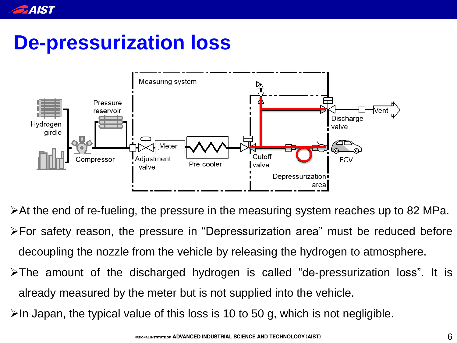

## **De-pressurization loss**



At the end of re-fueling, the pressure in the measuring system reaches up to 82 MPa. For safety reason, the pressure in "Depressurization area" must be reduced before decoupling the nozzle from the vehicle by releasing the hydrogen to atmosphere. The amount of the discharged hydrogen is called "de-pressurization loss". It is already measured by the meter but is not supplied into the vehicle.

 $\triangleright$ In Japan, the typical value of this loss is 10 to 50 g, which is not negligible.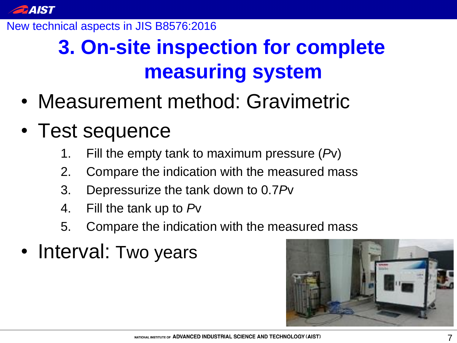

#### New technical aspects in JIS B8576:2016

## **3. On-site inspection for complete measuring system**

- Measurement method: Gravimetric
- Test sequence
	- 1. Fill the empty tank to maximum pressure (*P*v)
	- 2. Compare the indication with the measured mass
	- 3. Depressurize the tank down to 0.7*P*v
	- 4. Fill the tank up to *P*v
	- 5. Compare the indication with the measured mass
- Interval: Two years

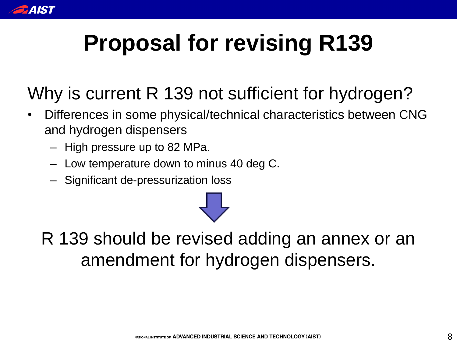

# **Proposal for revising R139**

- Why is current R 139 not sufficient for hydrogen?
- Differences in some physical/technical characteristics between CNG and hydrogen dispensers
	- High pressure up to 82 MPa.
	- Low temperature down to minus 40 deg C.
	- Significant de-pressurization loss



R 139 should be revised adding an annex or an amendment for hydrogen dispensers.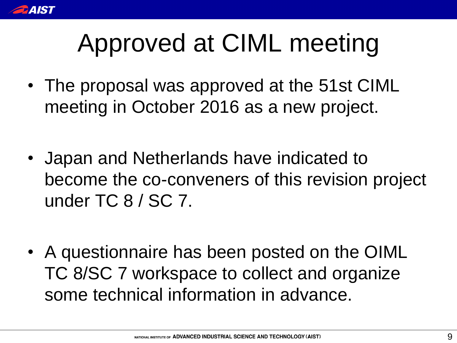

# Approved at CIML meeting

- The proposal was approved at the 51st CIML meeting in October 2016 as a new project.
- Japan and Netherlands have indicated to become the co-conveners of this revision project under TC 8 / SC 7.
- A questionnaire has been posted on the OIML TC 8/SC 7 workspace to collect and organize some technical information in advance.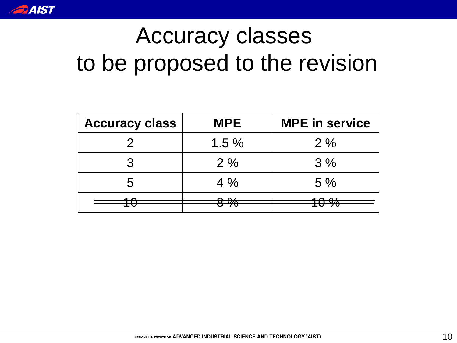

## Accuracy classes to be proposed to the revision

| <b>Accuracy class</b> | <b>MPE</b> | <b>MPE</b> in service |  |  |
|-----------------------|------------|-----------------------|--|--|
|                       | $1.5\%$    | 2%                    |  |  |
|                       | 2%         | 3%                    |  |  |
| わ                     | $4\%$      | 5%                    |  |  |
|                       |            |                       |  |  |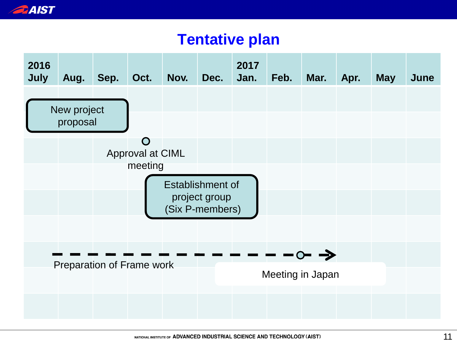

### **Tentative plan**

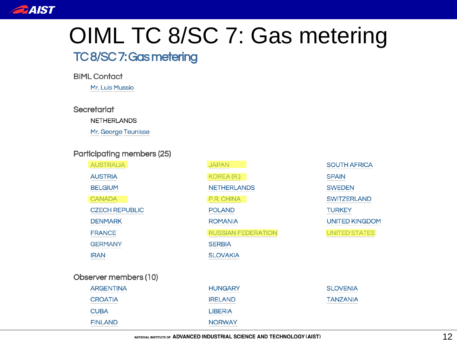

## OIML TC 8/SC 7: Gas metering

### TC8/SC7: Gas metering

**BIML Contact** 

Mr. Luis Mussio

Secretariat

**NETHERLANDS** 

Mr. George Teunisse

#### Participating members (25)

|                                                | <b>AUSTRALIA</b>      | <b>JAPAN</b>              | <b>SOUTH AFRICA</b>   |  |
|------------------------------------------------|-----------------------|---------------------------|-----------------------|--|
|                                                | <b>AUSTRIA</b>        | <b>KOREA (R.)</b>         | <b>SPAIN</b>          |  |
|                                                | <b>BELGIUM</b>        | <b>NETHERLANDS</b>        | <b>SWEDEN</b>         |  |
|                                                | <b>CANADA</b>         | P.R. CHINA                | <b>SWITZERLAND</b>    |  |
|                                                | <b>CZECH REPUBLIC</b> | <b>POLAND</b>             | <b>TURKEY</b>         |  |
|                                                | <b>DENMARK</b>        | <b>ROMANIA</b>            | <b>UNITED KINGDOM</b> |  |
| <b>FRANCE</b><br><b>GERMANY</b><br><b>IRAN</b> |                       | <b>RUSSIAN FEDERATION</b> | <b>UNITED STATES</b>  |  |
|                                                |                       | <b>SERBIA</b>             |                       |  |
|                                                |                       | <b>SLOVAKIA</b>           |                       |  |
|                                                | Observer members (10) |                           |                       |  |
|                                                | <b>ARGENTINA</b>      | <b>HUNGARY</b>            | <b>SLOVENIA</b>       |  |
|                                                | <b>CROATIA</b>        | <b>IRELAND</b>            | <b>TANZANIA</b>       |  |
|                                                | <b>CUBA</b>           | <b>LIBERIA</b>            |                       |  |
|                                                | <b>FINLAND</b>        | <b>NORWAY</b>             |                       |  |
|                                                |                       |                           |                       |  |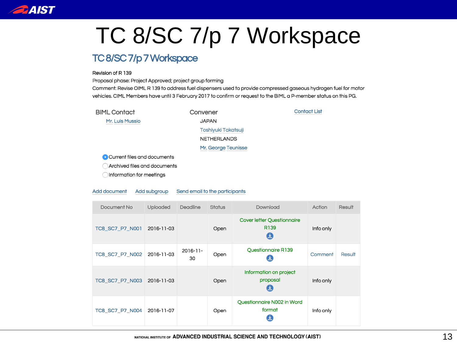

## TC 8/SC 7/p 7 Workspace

#### TC8/SC7/p7Workspace

#### Revision of R 139

Proposal phase: Project Approved; project group forming

Comment: Revise OIML R 139 to address fuel dispensers used to provide compressed gaseous hydrogen fuel for motor vehicles. CIML Members have until 3 February 2017 to confirm or request to the BIML a P-member status on this PG.

**Contact List** 

**BIML Contact** 

Mr. Luis Mussio

Convener **JAPAN** Toshiyuki Takatsuji **NETHERLANDS** Mr. George Teunisse

Current files and documents

Archived files and documents

OInformation for meetings

#### Add document Add subgroup Send email to the participants

| Document No                | <b>Uploaded</b> | Deadline            | <b>Status</b> | Download                                              | Action    | Result |
|----------------------------|-----------------|---------------------|---------------|-------------------------------------------------------|-----------|--------|
| TC8_SC7_P7_N001            | 2016-11-03      |                     | Open          | <b>Cover letter Questionnaire</b><br>R <sub>139</sub> | Info only |        |
| TC8_SC7_P7_N002 2016-11-03 |                 | $2016 - 11 -$<br>30 | Open          | Questionnaire R139                                    | Comment   | Result |
| TC8_SC7_P7_N003 2016-11-03 |                 |                     | Open          | Information on project<br>proposal                    | Info only |        |
| TC8 SC7 P7 N004            | 2016-11-07      |                     | Open          | Questionnaire N002 in Word<br>format                  | Info only |        |